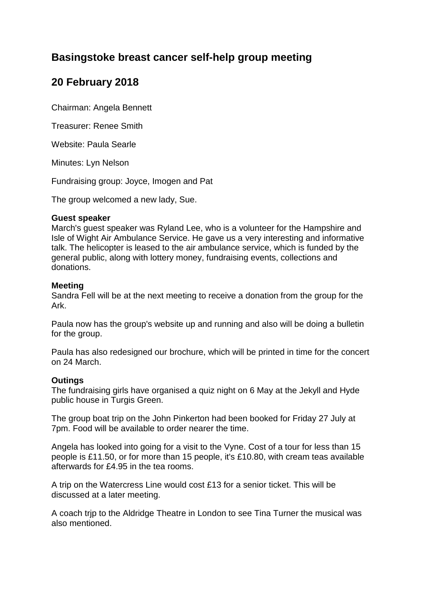# **Basingstoke breast cancer self-help group meeting**

# **20 February 2018**

Chairman: Angela Bennett

Treasurer: Renee Smith

Website: Paula Searle

Minutes: Lyn Nelson

Fundraising group: Joyce, Imogen and Pat

The group welcomed a new lady, Sue.

#### **Guest speaker**

March's guest speaker was Ryland Lee, who is a volunteer for the Hampshire and Isle of Wight Air Ambulance Service. He gave us a very interesting and informative talk. The helicopter is leased to the air ambulance service, which is funded by the general public, along with lottery money, fundraising events, collections and donations.

#### **Meeting**

Sandra Fell will be at the next meeting to receive a donation from the group for the Ark.

Paula now has the group's website up and running and also will be doing a bulletin for the group.

Paula has also redesigned our brochure, which will be printed in time for the concert on 24 March.

## **Outings**

The fundraising girls have organised a quiz night on 6 May at the Jekyll and Hyde public house in Turgis Green.

The group boat trip on the John Pinkerton had been booked for Friday 27 July at 7pm. Food will be available to order nearer the time.

Angela has looked into going for a visit to the Vyne. Cost of a tour for less than 15 people is £11.50, or for more than 15 people, it's £10.80, with cream teas available afterwards for £4.95 in the tea rooms.

A trip on the Watercress Line would cost £13 for a senior ticket. This will be discussed at a later meeting.

A coach trjp to the Aldridge Theatre in London to see Tina Turner the musical was also mentioned.